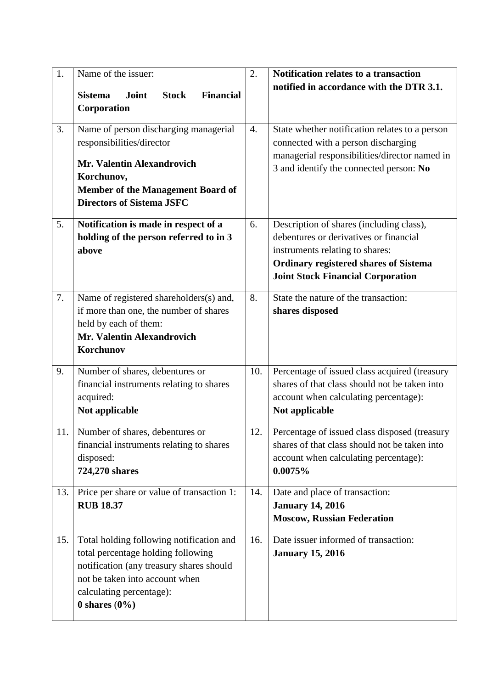| 1.<br>3. | Name of the issuer:<br>Joint<br><b>Stock</b><br><b>Financial</b><br><b>Sistema</b><br>Corporation<br>Name of person discharging managerial<br>responsibilities/director<br>Mr. Valentin Alexandrovich<br>Korchunov,<br>Member of the Management Board of | 2.<br>4. | Notification relates to a transaction<br>notified in accordance with the DTR 3.1.<br>State whether notification relates to a person<br>connected with a person discharging<br>managerial responsibilities/director named in<br>3 and identify the connected person: No |
|----------|----------------------------------------------------------------------------------------------------------------------------------------------------------------------------------------------------------------------------------------------------------|----------|------------------------------------------------------------------------------------------------------------------------------------------------------------------------------------------------------------------------------------------------------------------------|
| 5.       | <b>Directors of Sistema JSFC</b><br>Notification is made in respect of a                                                                                                                                                                                 | 6.       | Description of shares (including class),                                                                                                                                                                                                                               |
|          | holding of the person referred to in 3<br>above                                                                                                                                                                                                          |          | debentures or derivatives or financial<br>instruments relating to shares:<br><b>Ordinary registered shares of Sistema</b><br><b>Joint Stock Financial Corporation</b>                                                                                                  |
| 7.       | Name of registered shareholders(s) and,<br>if more than one, the number of shares<br>held by each of them:<br>Mr. Valentin Alexandrovich<br>Korchunov                                                                                                    | 8.       | State the nature of the transaction:<br>shares disposed                                                                                                                                                                                                                |
| 9.       | Number of shares, debentures or<br>financial instruments relating to shares<br>acquired:<br>Not applicable                                                                                                                                               | 10.      | Percentage of issued class acquired (treasury<br>shares of that class should not be taken into<br>account when calculating percentage):<br>Not applicable                                                                                                              |
| 11.      | Number of shares, debentures or<br>financial instruments relating to shares<br>disposed:<br>724,270 shares                                                                                                                                               | 12.      | Percentage of issued class disposed (treasury<br>shares of that class should not be taken into<br>account when calculating percentage):<br>0.0075%                                                                                                                     |
| 13.      | Price per share or value of transaction 1:<br><b>RUB 18.37</b>                                                                                                                                                                                           | 14.      | Date and place of transaction:<br><b>January 14, 2016</b><br><b>Moscow, Russian Federation</b>                                                                                                                                                                         |
| 15.      | Total holding following notification and<br>total percentage holding following<br>notification (any treasury shares should<br>not be taken into account when<br>calculating percentage):<br>$0$ shares $(0\%)$                                           | 16.      | Date issuer informed of transaction:<br><b>January 15, 2016</b>                                                                                                                                                                                                        |